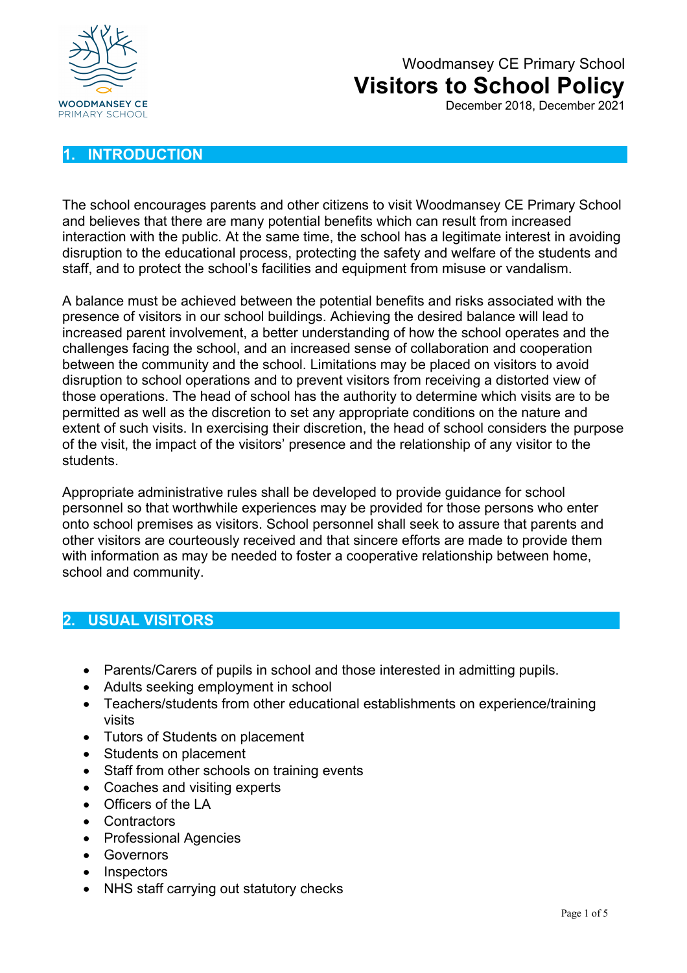

December 2018, December 2021

#### **1. INTRODUCTION**

The school encourages parents and other citizens to visit Woodmansey CE Primary School and believes that there are many potential benefits which can result from increased interaction with the public. At the same time, the school has a legitimate interest in avoiding disruption to the educational process, protecting the safety and welfare of the students and staff, and to protect the school's facilities and equipment from misuse or vandalism.

A balance must be achieved between the potential benefits and risks associated with the presence of visitors in our school buildings. Achieving the desired balance will lead to increased parent involvement, a better understanding of how the school operates and the challenges facing the school, and an increased sense of collaboration and cooperation between the community and the school. Limitations may be placed on visitors to avoid disruption to school operations and to prevent visitors from receiving a distorted view of those operations. The head of school has the authority to determine which visits are to be permitted as well as the discretion to set any appropriate conditions on the nature and extent of such visits. In exercising their discretion, the head of school considers the purpose of the visit, the impact of the visitors' presence and the relationship of any visitor to the students.

Appropriate administrative rules shall be developed to provide guidance for school personnel so that worthwhile experiences may be provided for those persons who enter onto school premises as visitors. School personnel shall seek to assure that parents and other visitors are courteously received and that sincere efforts are made to provide them with information as may be needed to foster a cooperative relationship between home, school and community.

#### **2. USUAL VISITORS**

- Parents/Carers of pupils in school and those interested in admitting pupils.
- Adults seeking employment in school
- Teachers/students from other educational establishments on experience/training visits
- Tutors of Students on placement
- Students on placement
- Staff from other schools on training events
- Coaches and visiting experts
- Officers of the LA
- Contractors
- Professional Agencies
- Governors
- Inspectors
- NHS staff carrying out statutory checks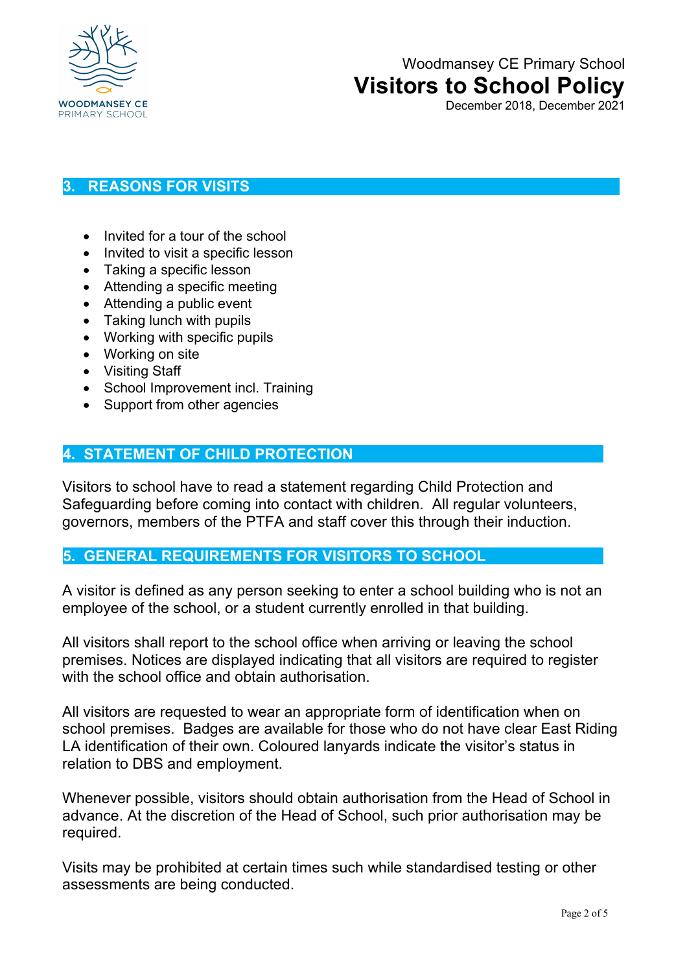

December 2018, December 2021

#### **3. REASONS FOR VISITS**

- Invited for a tour of the school
- Invited to visit a specific lesson
- Taking a specific lesson
- Attending a specific meeting
- Attending a public event
- Taking lunch with pupils
- Working with specific pupils
- Working on site
- Visiting Staff
- School Improvement incl. Training
- Support from other agencies

#### **4. STATEMENT OF CHILD PROTECTION**

Visitors to school have to read a statement regarding Child Protection and Safeguarding before coming into contact with children. All regular volunteers, governors, members of the PTFA and staff cover this through their induction.

#### **5. GENERAL REQUIREMENTS FOR VISITORS TO SCHOOL**

A visitor is defined as any person seeking to enter a school building who is not an employee of the school, or a student currently enrolled in that building.

All visitors shall report to the school office when arriving or leaving the school premises. Notices are displayed indicating that all visitors are required to register with the school office and obtain authorisation.

All visitors are requested to wear an appropriate form of identification when on school premises. Badges are available for those who do not have clear East Riding LA identification of their own. Coloured lanyards indicate the visitor's status in relation to DBS and employment.

Whenever possible, visitors should obtain authorisation from the Head of School in advance. At the discretion of the Head of School, such prior authorisation may be required.

Visits may be prohibited at certain times such while standardised testing or other assessments are being conducted.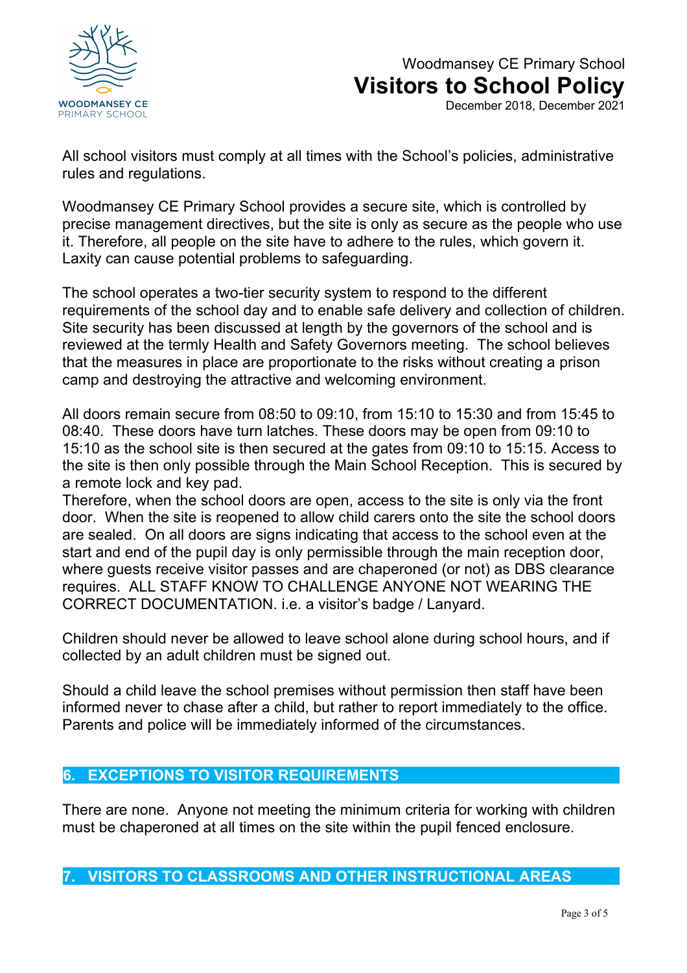

December 2018, December 2021

All school visitors must comply at all times with the School's policies, administrative rules and regulations.

Woodmansey CE Primary School provides a secure site, which is controlled by precise management directives, but the site is only as secure as the people who use it. Therefore, all people on the site have to adhere to the rules, which govern it. Laxity can cause potential problems to safeguarding.

The school operates a two-tier security system to respond to the different requirements of the school day and to enable safe delivery and collection of children. Site security has been discussed at length by the governors of the school and is reviewed at the termly Health and Safety Governors meeting. The school believes that the measures in place are proportionate to the risks without creating a prison camp and destroying the attractive and welcoming environment.

All doors remain secure from 08:50 to 09:10, from 15:10 to 15:30 and from 15:45 to 08:40. These doors have turn latches. These doors may be open from 09:10 to 15:10 as the school site is then secured at the gates from 09:10 to 15:15. Access to the site is then only possible through the Main School Reception. This is secured by a remote lock and key pad.

Therefore, when the school doors are open, access to the site is only via the front door. When the site is reopened to allow child carers onto the site the school doors are sealed. On all doors are signs indicating that access to the school even at the start and end of the pupil day is only permissible through the main reception door, where guests receive visitor passes and are chaperoned (or not) as DBS clearance requires. ALL STAFF KNOW TO CHALLENGE ANYONE NOT WEARING THE CORRECT DOCUMENTATION. i.e. a visitor's badge / Lanyard.

Children should never be allowed to leave school alone during school hours, and if collected by an adult children must be signed out.

Should a child leave the school premises without permission then staff have been informed never to chase after a child, but rather to report immediately to the office. Parents and police will be immediately informed of the circumstances.

#### **6. EXCEPTIONS TO VISITOR REQUIREMENTS**

There are none. Anyone not meeting the minimum criteria for working with children must be chaperoned at all times on the site within the pupil fenced enclosure.

**7. VISITORS TO CLASSROOMS AND OTHER INSTRUCTIONAL AREAS**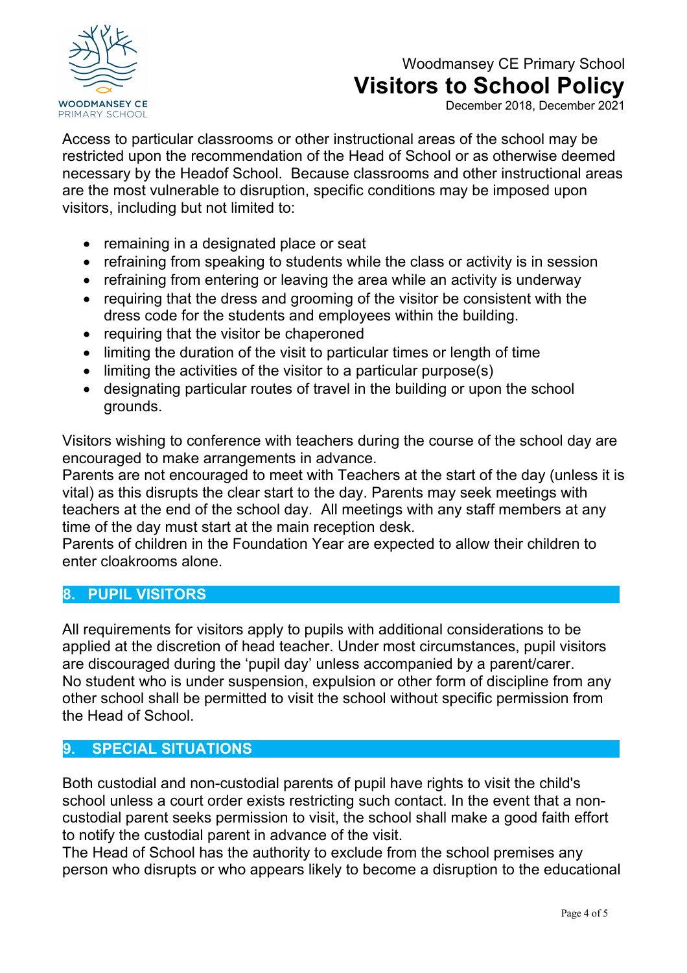

December 2018, December 2021

Access to particular classrooms or other instructional areas of the school may be restricted upon the recommendation of the Head of School or as otherwise deemed necessary by the Headof School. Because classrooms and other instructional areas are the most vulnerable to disruption, specific conditions may be imposed upon visitors, including but not limited to:

- remaining in a designated place or seat
- refraining from speaking to students while the class or activity is in session
- refraining from entering or leaving the area while an activity is underway
- requiring that the dress and grooming of the visitor be consistent with the dress code for the students and employees within the building.
- requiring that the visitor be chaperoned
- limiting the duration of the visit to particular times or length of time
- limiting the activities of the visitor to a particular purpose(s)
- designating particular routes of travel in the building or upon the school grounds.

Visitors wishing to conference with teachers during the course of the school day are encouraged to make arrangements in advance.

Parents are not encouraged to meet with Teachers at the start of the day (unless it is vital) as this disrupts the clear start to the day. Parents may seek meetings with teachers at the end of the school day. All meetings with any staff members at any time of the day must start at the main reception desk.

Parents of children in the Foundation Year are expected to allow their children to enter cloakrooms alone.

#### **8. PUPIL VISITORS**

All requirements for visitors apply to pupils with additional considerations to be applied at the discretion of head teacher. Under most circumstances, pupil visitors are discouraged during the 'pupil day' unless accompanied by a parent/carer. No student who is under suspension, expulsion or other form of discipline from any other school shall be permitted to visit the school without specific permission from the Head of School.

#### **9. SPECIAL SITUATIONS**

Both custodial and non-custodial parents of pupil have rights to visit the child's school unless a court order exists restricting such contact. In the event that a noncustodial parent seeks permission to visit, the school shall make a good faith effort to notify the custodial parent in advance of the visit.

The Head of School has the authority to exclude from the school premises any person who disrupts or who appears likely to become a disruption to the educational